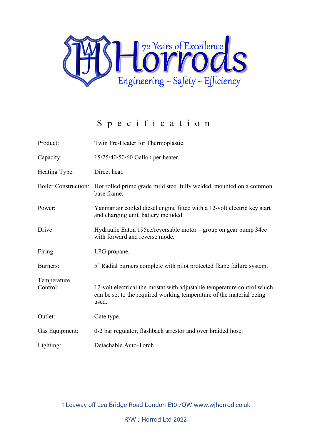

## Specification

| Product:                    | Twin Pre-Heater for Thermoplastic.                                                                                                                       |
|-----------------------------|----------------------------------------------------------------------------------------------------------------------------------------------------------|
| Capacity:                   | 15/25/40/50/60 Gallon per heater.                                                                                                                        |
| Heating Type:               | Direct heat.                                                                                                                                             |
| <b>Boiler Construction:</b> | Hot rolled prime grade mild steel fully welded, mounted on a common<br>base frame.                                                                       |
| Power:                      | Yanmar air cooled diesel engine fitted with a 12-volt electric key start<br>and charging unit, battery included.                                         |
| Drive:                      | Hydraulic Eaton 195cc/reversable motor – group on gear pump 34cc<br>with forward and reverse mode.                                                       |
| Firing:                     | LPG propane.                                                                                                                                             |
| Burners:                    | 5" Radial burners complete with pilot protected flame failure system.                                                                                    |
| Temperature<br>Control:     | 12-volt electrical thermostat with adjustable temperature control which<br>can be set to the required working temperature of the material being<br>used. |
| Outlet:                     | Gate type.                                                                                                                                               |
| Gas Equipment:              | 0-2 bar regulator, flashback arrestor and over braided hose.                                                                                             |
| Lighting:                   | Detachable Auto-Torch.                                                                                                                                   |

1 Leaway off Lea Bridge Road London E10 7QW www.wjhorrod.co.uk